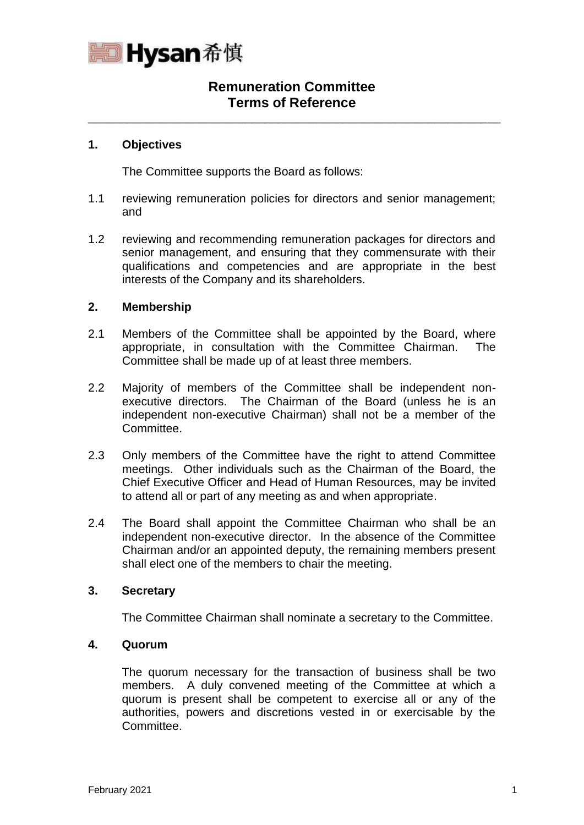

# **Remuneration Committee Terms of Reference**

\_\_\_\_\_\_\_\_\_\_\_\_\_\_\_\_\_\_\_\_\_\_\_\_\_\_\_\_\_\_\_\_\_\_\_\_\_\_\_\_\_\_\_\_\_\_\_\_\_\_\_\_\_\_\_\_\_\_\_\_\_\_\_

#### **1. Objectives**

The Committee supports the Board as follows:

- 1.1 reviewing remuneration policies for directors and senior management; and
- 1.2 reviewing and recommending remuneration packages for directors and senior management, and ensuring that they commensurate with their qualifications and competencies and are appropriate in the best interests of the Company and its shareholders.

#### **2. Membership**

- 2.1 Members of the Committee shall be appointed by the Board, where appropriate, in consultation with the Committee Chairman. The Committee shall be made up of at least three members.
- 2.2 Majority of members of the Committee shall be independent nonexecutive directors. The Chairman of the Board (unless he is an independent non-executive Chairman) shall not be a member of the Committee.
- 2.3 Only members of the Committee have the right to attend Committee meetings. Other individuals such as the Chairman of the Board, the Chief Executive Officer and Head of Human Resources, may be invited to attend all or part of any meeting as and when appropriate.
- 2.4 The Board shall appoint the Committee Chairman who shall be an independent non-executive director. In the absence of the Committee Chairman and/or an appointed deputy, the remaining members present shall elect one of the members to chair the meeting.

#### **3. Secretary**

The Committee Chairman shall nominate a secretary to the Committee.

#### **4. Quorum**

The quorum necessary for the transaction of business shall be two members. A duly convened meeting of the Committee at which a quorum is present shall be competent to exercise all or any of the authorities, powers and discretions vested in or exercisable by the Committee.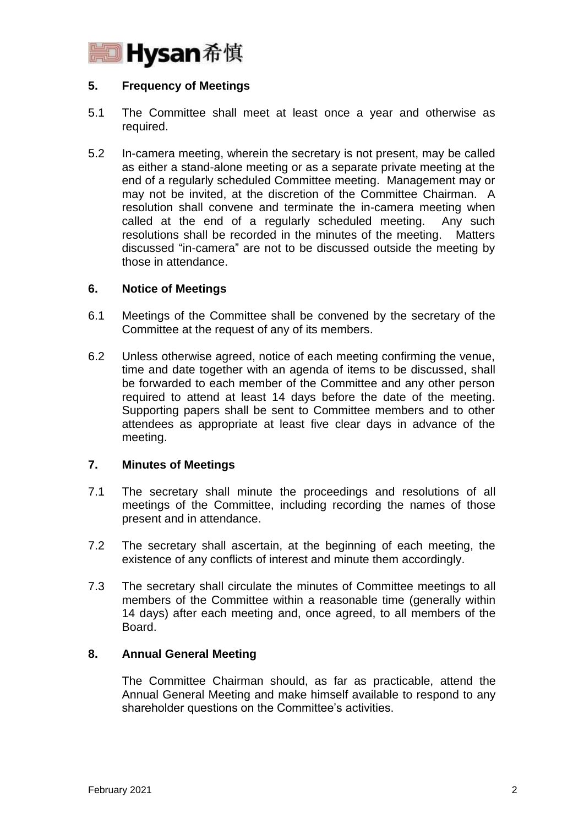

## **5. Frequency of Meetings**

- 5.1 The Committee shall meet at least once a year and otherwise as required.
- 5.2 In-camera meeting, wherein the secretary is not present, may be called as either a stand-alone meeting or as a separate private meeting at the end of a regularly scheduled Committee meeting. Management may or may not be invited, at the discretion of the Committee Chairman. A resolution shall convene and terminate the in-camera meeting when called at the end of a regularly scheduled meeting. Any such resolutions shall be recorded in the minutes of the meeting. Matters discussed "in-camera" are not to be discussed outside the meeting by those in attendance.

#### **6. Notice of Meetings**

- 6.1 Meetings of the Committee shall be convened by the secretary of the Committee at the request of any of its members.
- 6.2 Unless otherwise agreed, notice of each meeting confirming the venue, time and date together with an agenda of items to be discussed, shall be forwarded to each member of the Committee and any other person required to attend at least 14 days before the date of the meeting. Supporting papers shall be sent to Committee members and to other attendees as appropriate at least five clear days in advance of the meeting.

#### **7. Minutes of Meetings**

- 7.1 The secretary shall minute the proceedings and resolutions of all meetings of the Committee, including recording the names of those present and in attendance.
- 7.2 The secretary shall ascertain, at the beginning of each meeting, the existence of any conflicts of interest and minute them accordingly.
- 7.3 The secretary shall circulate the minutes of Committee meetings to all members of the Committee within a reasonable time (generally within 14 days) after each meeting and, once agreed, to all members of the Board.

#### **8. Annual General Meeting**

The Committee Chairman should, as far as practicable, attend the Annual General Meeting and make himself available to respond to any shareholder questions on the Committee's activities.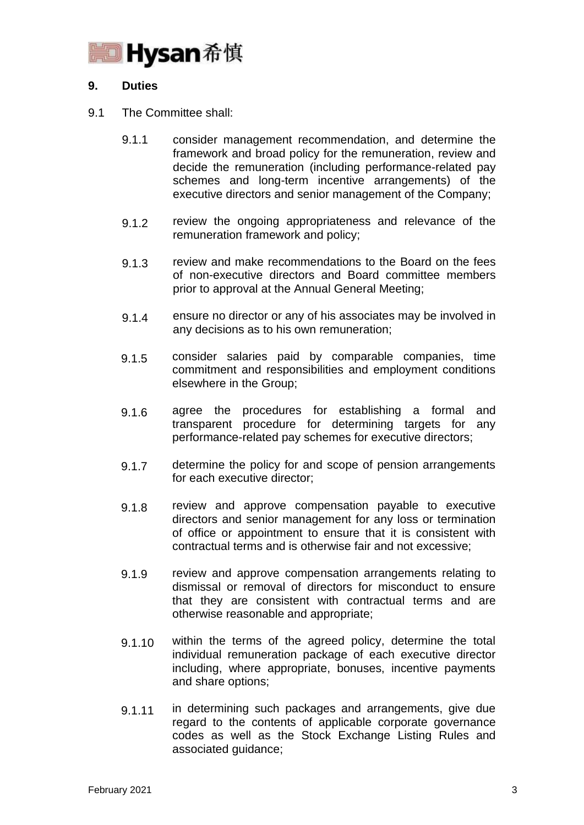

## **9. Duties**

#### 9.1 The Committee shall:

- 9.1.1 consider management recommendation, and determine the framework and broad policy for the remuneration, review and decide the remuneration (including performance-related pay schemes and long-term incentive arrangements) of the executive directors and senior management of the Company;
- 9.1.2 review the ongoing appropriateness and relevance of the remuneration framework and policy;
- 9.1.3 review and make recommendations to the Board on the fees of non-executive directors and Board committee members prior to approval at the Annual General Meeting;
- 9.1.4 ensure no director or any of his associates may be involved in any decisions as to his own remuneration;
- 9.1.5 consider salaries paid by comparable companies, time commitment and responsibilities and employment conditions elsewhere in the Group;
- 9.1.6 agree the procedures for establishing a formal and transparent procedure for determining targets for any performance-related pay schemes for executive directors;
- 9.1.7 determine the policy for and scope of pension arrangements for each executive director;
- 9.1.8 review and approve compensation payable to executive directors and senior management for any loss or termination of office or appointment to ensure that it is consistent with contractual terms and is otherwise fair and not excessive;
- 9.1.9 review and approve compensation arrangements relating to dismissal or removal of directors for misconduct to ensure that they are consistent with contractual terms and are otherwise reasonable and appropriate;
- 9.1.10 within the terms of the agreed policy, determine the total individual remuneration package of each executive director including, where appropriate, bonuses, incentive payments and share options;
- 9.1.11 in determining such packages and arrangements, give due regard to the contents of applicable corporate governance codes as well as the Stock Exchange Listing Rules and associated guidance;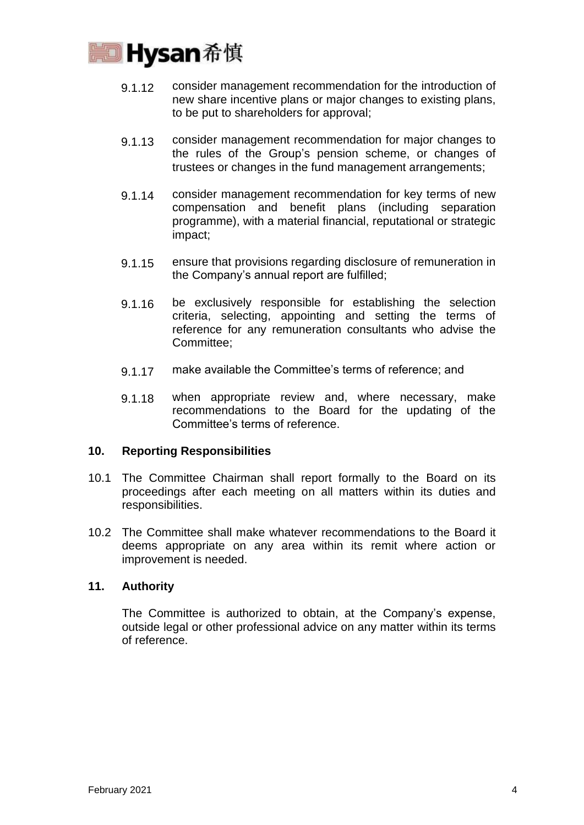

- 9.1.12 consider management recommendation for the introduction of new share incentive plans or major changes to existing plans, to be put to shareholders for approval;
- 9.1.13 consider management recommendation for major changes to the rules of the Group's pension scheme, or changes of trustees or changes in the fund management arrangements;
- 9.1.14 consider management recommendation for key terms of new compensation and benefit plans (including separation programme), with a material financial, reputational or strategic impact;
- 9.1.15 ensure that provisions regarding disclosure of remuneration in the Company's annual report are fulfilled;
- 9.1.16 be exclusively responsible for establishing the selection criteria, selecting, appointing and setting the terms of reference for any remuneration consultants who advise the Committee;
- 9.1.17 make available the Committee's terms of reference; and
- 9.1.18 when appropriate review and, where necessary, make recommendations to the Board for the updating of the Committee's terms of reference.

## **10. Reporting Responsibilities**

- 10.1 The Committee Chairman shall report formally to the Board on its proceedings after each meeting on all matters within its duties and responsibilities.
- 10.2 The Committee shall make whatever recommendations to the Board it deems appropriate on any area within its remit where action or improvement is needed.

#### **11. Authority**

The Committee is authorized to obtain, at the Company's expense, outside legal or other professional advice on any matter within its terms of reference.